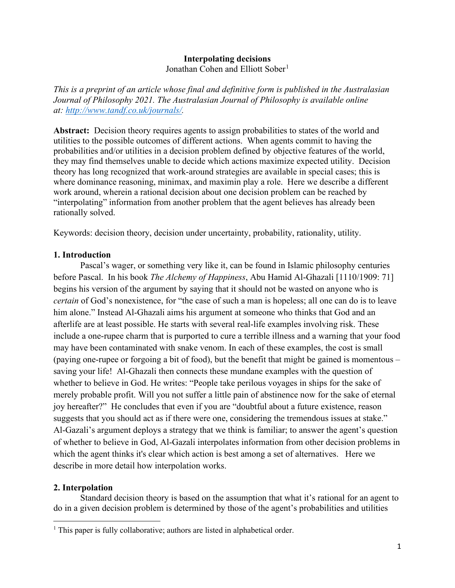# **Interpolating decisions**

Jonathan Cohen and Elliott Sober<sup>[1](#page-0-0)</sup>

*This is a preprint of an article whose final and definitive form is published in the Australasian Journal of Philosophy 2021. The Australasian Journal of Philosophy is available online at: [http://www.tandf.co.uk/journals/.](http://www.tandf.co.uk/journals/)*

Abstract: Decision theory requires agents to assign probabilities to states of the world and utilities to the possible outcomes of different actions. When agents commit to having the probabilities and/or utilities in a decision problem defined by objective features of the world, they may find themselves unable to decide which actions maximize expected utility. Decision theory has long recognized that work-around strategies are available in special cases; this is where dominance reasoning, minimax, and maximin play a role. Here we describe a different work around, wherein a rational decision about one decision problem can be reached by "interpolating" information from another problem that the agent believes has already been rationally solved.

Keywords: decision theory, decision under uncertainty, probability, rationality, utility.

## **1. Introduction**

Pascal's wager, or something very like it, can be found in Islamic philosophy centuries before Pascal. In his book *The Alchemy of Happiness*, Abu Hamid Al-Ghazali [1110/1909: 71] begins his version of the argument by saying that it should not be wasted on anyone who is *certain* of God's nonexistence, for "the case of such a man is hopeless; all one can do is to leave him alone." Instead Al-Ghazali aims his argument at someone who thinks that God and an afterlife are at least possible. He starts with several real-life examples involving risk. These include a one-rupee charm that is purported to cure a terrible illness and a warning that your food may have been contaminated with snake venom. In each of these examples, the cost is small (paying one-rupee or forgoing a bit of food), but the benefit that might be gained is momentous – saving your life! Al-Ghazali then connects these mundane examples with the question of whether to believe in God. He writes: "People take perilous voyages in ships for the sake of merely probable profit. Will you not suffer a little pain of abstinence now for the sake of eternal joy hereafter?" He concludes that even if you are "doubtful about a future existence, reason suggests that you should act as if there were one, considering the tremendous issues at stake." Al-Gazali's argument deploys a strategy that we think is familiar; to answer the agent's question of whether to believe in God, Al-Gazali interpolates information from other decision problems in which the agent thinks it's clear which action is best among a set of alternatives. Here we describe in more detail how interpolation works.

## **2. Interpolation**

Standard decision theory is based on the assumption that what it's rational for an agent to do in a given decision problem is determined by those of the agent's probabilities and utilities

<span id="page-0-0"></span><sup>&</sup>lt;sup>1</sup> This paper is fully collaborative; authors are listed in alphabetical order.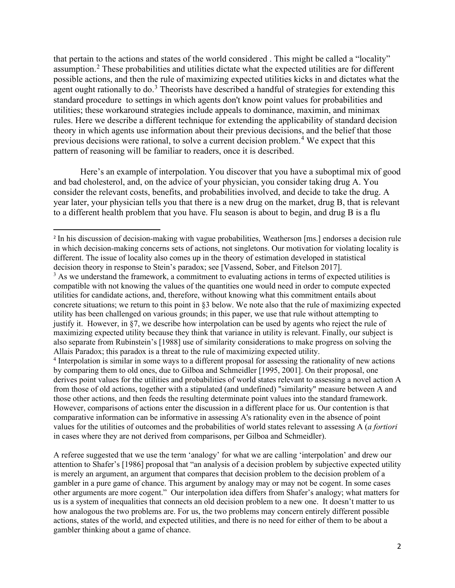that pertain to the actions and states of the world considered . This might be called a "locality" assumption.[2](#page-1-0) These probabilities and utilities dictate what the expected utilities are for different possible actions, and then the rule of maximizing expected utilities kicks in and dictates what the agent ought rationally to  $\text{do.}^3$  $\text{do.}^3$ . Theorists have described a handful of strategies for extending this standard procedure to settings in which agents don't know point values for probabilities and utilities; these workaround strategies include appeals to dominance, maximin, and minimax rules. Here we describe a different technique for extending the applicability of standard decision theory in which agents use information about their previous decisions, and the belief that those previous decisions were rational, to solve a current decision problem.<sup>[4](#page-1-2)</sup> We expect that this pattern of reasoning will be familiar to readers, once it is described.

Here's an example of interpolation. You discover that you have a suboptimal mix of good and bad cholesterol, and, on the advice of your physician, you consider taking drug A. You consider the relevant costs, benefits, and probabilities involved, and decide to take the drug. A year later, your physician tells you that there is a new drug on the market, drug B, that is relevant to a different health problem that you have. Flu season is about to begin, and drug B is a flu

A referee suggested that we use the term 'analogy' for what we are calling 'interpolation' and drew our attention to Shafer's [1986] proposal that "an analysis of a decision problem by subjective expected utility is merely an argument, an argument that compares that decision problem to the decision problem of a gambler in a pure game of chance. This argument by analogy may or may not be cogent. In some cases other arguments are more cogent." Our interpolation idea differs from Shafer's analogy; what matters for us is a system of inequalities that connects an old decision problem to a new one. It doesn't matter to us how analogous the two problems are. For us, the two problems may concern entirely different possible actions, states of the world, and expected utilities, and there is no need for either of them to be about a gambler thinking about a game of chance.

<span id="page-1-0"></span><sup>2</sup> In his discussion of decision-making with vague probabilities, Weatherson [ms.] endorses a decision rule in which decision-making concerns sets of actions, not singletons. Our motivation for violating locality is different. The issue of locality also comes up in the theory of estimation developed in statistical decision theory in response to Stein's paradox; see [Vassend, Sober, and Fitelson 2017].  $3$  As we understand the framework, a commitment to evaluating actions in terms of expected utilities is

<span id="page-1-1"></span>compatible with not knowing the values of the quantities one would need in order to compute expected utilities for candidate actions, and, therefore, without knowing what this commitment entails about concrete situations; we return to this point in §3 below. We note also that the rule of maximizing expected utility has been challenged on various grounds; in this paper, we use that rule without attempting to justify it. However, in §7, we describe how interpolation can be used by agents who reject the rule of maximizing expected utility because they think that variance in utility is relevant. Finally, our subject is also separate from Rubinstein's [1988] use of similarity considerations to make progress on solving the Allais Paradox; this paradox is a threat to the rule of maximizing expected utility.

<span id="page-1-2"></span><sup>&</sup>lt;sup>4</sup> Interpolation is similar in some ways to a different proposal for assessing the rationality of new actions by comparing them to old ones, due to Gilboa and Schmeidler [1995, 2001]. On their proposal, one derives point values for the utilities and probabilities of world states relevant to assessing a novel action A from those of old actions, together with a stipulated (and undefined) "similarity" measure between A and those other actions, and then feeds the resulting determinate point values into the standard framework. However, comparisons of actions enter the discussion in a different place for us. Our contention is that comparative information can be informative in assessing A's rationality even in the absence of point values for the utilities of outcomes and the probabilities of world states relevant to assessing A (*a fortiori* in cases where they are not derived from comparisons, per Gilboa and Schmeidler).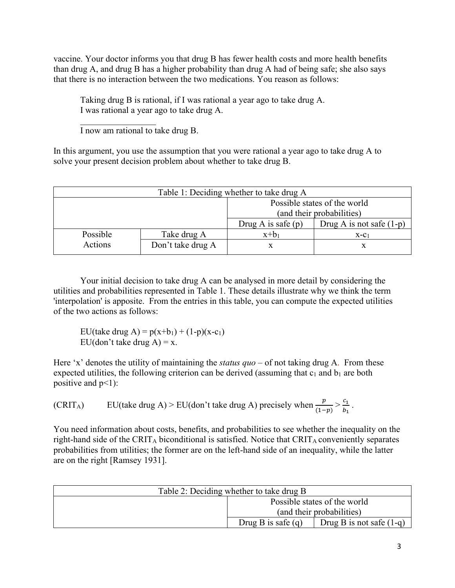vaccine. Your doctor informs you that drug B has fewer health costs and more health benefits than drug A, and drug B has a higher probability than drug A had of being safe; she also says that there is no interaction between the two medications. You reason as follows:

Taking drug B is rational, if I was rational a year ago to take drug A. I was rational a year ago to take drug A.

 $\mathcal{L}_\text{max}$  , we have the set of  $\mathcal{L}_\text{max}$ I now am rational to take drug B.

In this argument, you use the assumption that you were rational a year ago to take drug A to solve your present decision problem about whether to take drug B.

| Table 1: Deciding whether to take drug A |                   |                              |                            |  |
|------------------------------------------|-------------------|------------------------------|----------------------------|--|
|                                          |                   | Possible states of the world |                            |  |
|                                          |                   | (and their probabilities)    |                            |  |
|                                          |                   | Drug A is safe $(p)$         | Drug A is not safe $(1-p)$ |  |
| Possible                                 | Take drug A       | $x+b_1$                      | $X-C_1$                    |  |
| Actions                                  | Don't take drug A |                              |                            |  |

Your initial decision to take drug A can be analysed in more detail by considering the utilities and probabilities represented in Table 1. These details illustrate why we think the term 'interpolation' is apposite. From the entries in this table, you can compute the expected utilities of the two actions as follows:

EU(take drug A) =  $p(x+b_1) + (1-p)(x-c_1)$ EU(don't take drug  $A$ ) = x.

Here 'x' denotes the utility of maintaining the *status quo* – of not taking drug A. From these expected utilities, the following criterion can be derived (assuming that  $c_1$  and  $b_1$  are both positive and  $p<1$ :

(CRIT<sub>A</sub>) EU(take drug A) > EU(don't take drug A) precisely when  $\frac{p}{(1-p)} > \frac{c_1}{b_1}$ .

You need information about costs, benefits, and probabilities to see whether the inequality on the right-hand side of the CRIT<sub>A</sub> biconditional is satisfied. Notice that  $CRIT_A$  conveniently separates probabilities from utilities; the former are on the left-hand side of an inequality, while the latter are on the right [Ramsey 1931].

| Table 2: Deciding whether to take drug B           |                           |  |  |  |
|----------------------------------------------------|---------------------------|--|--|--|
| Possible states of the world                       |                           |  |  |  |
|                                                    | (and their probabilities) |  |  |  |
| Drug B is safe $(q)$<br>Drug B is not safe $(1-q)$ |                           |  |  |  |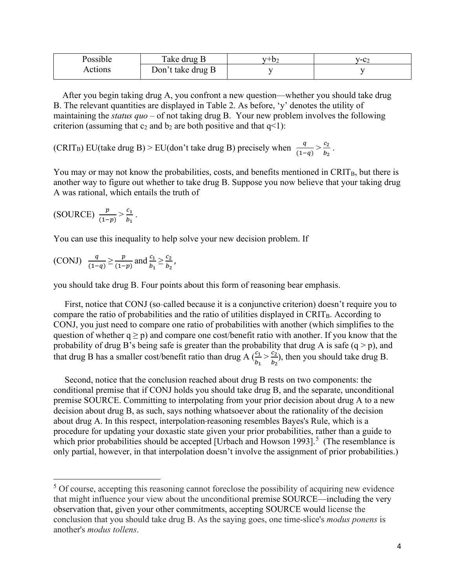| Possible | Take drug B       | $V + b$ | v-c⁄ |
|----------|-------------------|---------|------|
| Actions  | Don't take drug B |         |      |

 After you begin taking drug A, you confront a new question—whether you should take drug B. The relevant quantities are displayed in Table 2. As before, 'y' denotes the utility of maintaining the *status quo* – of not taking drug B. Your new problem involves the following criterion (assuming that  $c_2$  and  $b_2$  are both positive and that  $q<1$ ):

(CRIT<sub>B</sub>) EU(take drug B) > EU(don't take drug B) precisely when  $\frac{q}{(1-q)} > \frac{c_2}{b_2}$ .

You may or may not know the probabilities, costs, and benefits mentioned in CRIT<sub>B</sub>, but there is another way to figure out whether to take drug B. Suppose you now believe that your taking drug A was rational, which entails the truth of

(SOURCE) 
$$
\frac{p}{(1-p)} > \frac{c_1}{b_1}
$$
.

You can use this inequality to help solve your new decision problem. If

(CONJ) 
$$
\frac{q}{(1-q)} \ge \frac{p}{(1-p)}
$$
 and  $\frac{c_1}{b_1} \ge \frac{c_2}{b_2}$ ,

you should take drug B. Four points about this form of reasoning bear emphasis.

 First, notice that CONJ (so-called because it is a conjunctive criterion) doesn't require you to compare the ratio of probabilities and the ratio of utilities displayed in  $CRIT<sub>B</sub>$ . According to CONJ, you just need to compare one ratio of probabilities with another (which simplifies to the question of whether  $q \ge p$ ) and compare one cost/benefit ratio with another. If you know that the probability of drug B's being safe is greater than the probability that drug A is safe  $(q > p)$ , and that drug B has a smaller cost/benefit ratio than drug A  $\left(\frac{c_1}{b}\right)$  $b_1$  $> \frac{c_2}{\hbar}$  $b_2$ ), then you should take drug B.

 Second, notice that the conclusion reached about drug B rests on two components: the conditional premise that if CONJ holds you should take drug B, and the separate, unconditional premise SOURCE. Committing to interpolating from your prior decision about drug A to a new decision about drug B, as such, says nothing whatsoever about the rationality of the decision about drug A. In this respect, interpolation reasoning resembles Bayes's Rule, which is a procedure for updating your doxastic state given your prior probabilities, rather than a guide to which prior probabilities should be accepted [Urbach and Howson 1993].<sup>[5](#page-3-0)</sup> (The resemblance is only partial, however, in that interpolation doesn't involve the assignment of prior probabilities.)

<span id="page-3-0"></span><sup>&</sup>lt;sup>5</sup> Of course, accepting this reasoning cannot foreclose the possibility of acquiring new evidence that might influence your view about the unconditional premise SOURCE—including the very observation that, given your other commitments, accepting SOURCE would license the conclusion that you should take drug B. As the saying goes, one time-slice's *modus ponens* is another's *modus tollens*.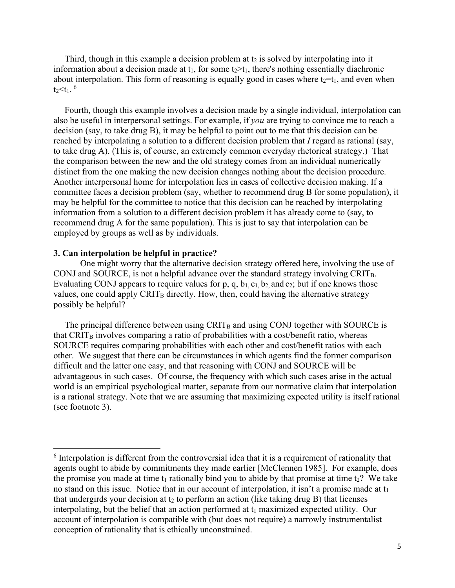Third, though in this example a decision problem at  $t_2$  is solved by interpolating into it information about a decision made at  $t_1$ , for some  $t_2 > t_1$ , there's nothing essentially diachronic about interpolation. This form of reasoning is equally good in cases where  $t_2=t_1$ , and even when  $t_2$  <t<sub>1</sub>.  $^6$  $^6$ 

 Fourth, though this example involves a decision made by a single individual, interpolation can also be useful in interpersonal settings. For example, if *you* are trying to convince me to reach a decision (say, to take drug B), it may be helpful to point out to me that this decision can be reached by interpolating a solution to a different decision problem that *I* regard as rational (say, to take drug A). (This is, of course, an extremely common everyday rhetorical strategy.) That the comparison between the new and the old strategy comes from an individual numerically distinct from the one making the new decision changes nothing about the decision procedure. Another interpersonal home for interpolation lies in cases of collective decision making. If a committee faces a decision problem (say, whether to recommend drug B for some population), it may be helpful for the committee to notice that this decision can be reached by interpolating information from a solution to a different decision problem it has already come to (say, to recommend drug A for the same population). This is just to say that interpolation can be employed by groups as well as by individuals.

### **3. Can interpolation be helpful in practice?**

One might worry that the alternative decision strategy offered here, involving the use of CONJ and SOURCE, is not a helpful advance over the standard strategy involving CRITB. Evaluating CONJ appears to require values for p, q,  $b_1$ ,  $c_1$ ,  $b_2$ , and  $c_2$ ; but if one knows those values, one could apply  $CRIT_B$  directly. How, then, could having the alternative strategy possibly be helpful?

The principal difference between using  $CRIT<sub>B</sub>$  and using CONJ together with SOURCE is that  $CRIT<sub>B</sub>$  involves comparing a ratio of probabilities with a cost/benefit ratio, whereas SOURCE requires comparing probabilities with each other and cost/benefit ratios with each other. We suggest that there can be circumstances in which agents find the former comparison difficult and the latter one easy, and that reasoning with CONJ and SOURCE will be advantageous in such cases. Of course, the frequency with which such cases arise in the actual world is an empirical psychological matter, separate from our normative claim that interpolation is a rational strategy. Note that we are assuming that maximizing expected utility is itself rational (see footnote 3).

<span id="page-4-0"></span><sup>&</sup>lt;sup>6</sup> Interpolation is different from the controversial idea that it is a requirement of rationality that agents ought to abide by commitments they made earlier [McClennen 1985]. For example, does the promise you made at time  $t_1$  rationally bind you to abide by that promise at time  $t_2$ ? We take no stand on this issue. Notice that in our account of interpolation, it isn't a promise made at  $t_1$ that undergirds your decision at  $t_2$  to perform an action (like taking drug B) that licenses interpolating, but the belief that an action performed at  $t_1$  maximized expected utility. Our account of interpolation is compatible with (but does not require) a narrowly instrumentalist conception of rationality that is ethically unconstrained.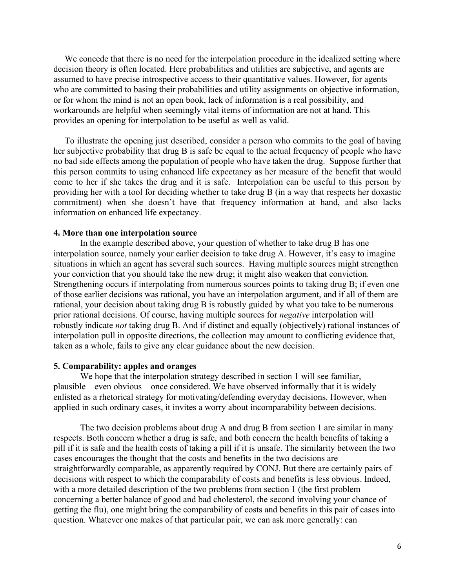We concede that there is no need for the interpolation procedure in the idealized setting where decision theory is often located. Here probabilities and utilities are subjective, and agents are assumed to have precise introspective access to their quantitative values. However, for agents who are committed to basing their probabilities and utility assignments on objective information, or for whom the mind is not an open book, lack of information is a real possibility, and workarounds are helpful when seemingly vital items of information are not at hand. This provides an opening for interpolation to be useful as well as valid.

 To illustrate the opening just described, consider a person who commits to the goal of having her subjective probability that drug B is safe be equal to the actual frequency of people who have no bad side effects among the population of people who have taken the drug. Suppose further that this person commits to using enhanced life expectancy as her measure of the benefit that would come to her if she takes the drug and it is safe. Interpolation can be useful to this person by providing her with a tool for deciding whether to take drug B (in a way that respects her doxastic commitment) when she doesn't have that frequency information at hand, and also lacks information on enhanced life expectancy.

#### **4. More than one interpolation source**

In the example described above, your question of whether to take drug B has one interpolation source, namely your earlier decision to take drug A. However, it's easy to imagine situations in which an agent has several such sources. Having multiple sources might strengthen your conviction that you should take the new drug; it might also weaken that conviction. Strengthening occurs if interpolating from numerous sources points to taking drug B; if even one of those earlier decisions was rational, you have an interpolation argument, and if all of them are rational, your decision about taking drug B is robustly guided by what you take to be numerous prior rational decisions. Of course, having multiple sources for *negative* interpolation will robustly indicate *not* taking drug B. And if distinct and equally (objectively) rational instances of interpolation pull in opposite directions, the collection may amount to conflicting evidence that, taken as a whole, fails to give any clear guidance about the new decision.

#### **5. Comparability: apples and oranges**

We hope that the interpolation strategy described in section 1 will see familiar, plausible—even obvious—once considered. We have observed informally that it is widely enlisted as a rhetorical strategy for motivating/defending everyday decisions. However, when applied in such ordinary cases, it invites a worry about incomparability between decisions.

The two decision problems about drug A and drug B from section 1 are similar in many respects. Both concern whether a drug is safe, and both concern the health benefits of taking a pill if it is safe and the health costs of taking a pill if it is unsafe. The similarity between the two cases encourages the thought that the costs and benefits in the two decisions are straightforwardly comparable, as apparently required by CONJ. But there are certainly pairs of decisions with respect to which the comparability of costs and benefits is less obvious. Indeed, with a more detailed description of the two problems from section 1 (the first problem concerning a better balance of good and bad cholesterol, the second involving your chance of getting the flu), one might bring the comparability of costs and benefits in this pair of cases into question. Whatever one makes of that particular pair, we can ask more generally: can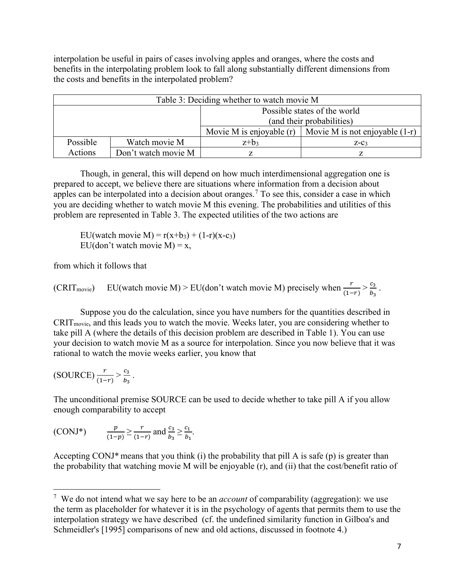interpolation be useful in pairs of cases involving apples and oranges, where the costs and benefits in the interpolating problem look to fall along substantially different dimensions from the costs and benefits in the interpolated problem?

| Table 3: Deciding whether to watch movie M |                                                                |         |        |  |
|--------------------------------------------|----------------------------------------------------------------|---------|--------|--|
|                                            | Possible states of the world                                   |         |        |  |
|                                            | (and their probabilities)                                      |         |        |  |
|                                            | Movie M is enjoyable $(r)$<br>Movie M is not enjoyable $(1-r)$ |         |        |  |
| Possible                                   | Watch movie M                                                  | $z+b_3$ | $Z-C3$ |  |
| Actions                                    | Don't watch movie M                                            |         |        |  |

Though, in general, this will depend on how much interdimensional aggregation one is prepared to accept, we believe there are situations where information from a decision about apples can be interpolated into a decision about oranges.<sup>[7](#page-6-0)</sup> To see this, consider a case in which you are deciding whether to watch movie M this evening. The probabilities and utilities of this problem are represented in Table 3. The expected utilities of the two actions are

EU(watch movie M) =  $r(x+b_3) + (1-r)(x-c_3)$ EU(don't watch movie  $M$ ) = x,

from which it follows that

(CRIT<sub>movie</sub>) EU(watch movie M) > EU(don't watch movie M) precisely when  $\frac{r}{(1-r)} > \frac{c_3}{b_3}$ .

Suppose you do the calculation, since you have numbers for the quantities described in CRITmovie, and this leads you to watch the movie. Weeks later, you are considering whether to take pill A (where the details of this decision problem are described in Table 1). You can use your decision to watch movie M as a source for interpolation. Since you now believe that it was rational to watch the movie weeks earlier, you know that

$$
(SOURCE)\frac{r}{(1-r)} > \frac{c_3}{b_3}.
$$

The unconditional premise SOURCE can be used to decide whether to take pill A if you allow enough comparability to accept

(CONJ\*) 
$$
\frac{p}{(1-p)} \ge \frac{r}{(1-r)}
$$
 and  $\frac{c_3}{b_3} \ge \frac{c_1}{b_1}$ .

Accepting CONJ\* means that you think (i) the probability that pill A is safe (p) is greater than the probability that watching movie M will be enjoyable (r), and (ii) that the cost/benefit ratio of

<span id="page-6-0"></span><sup>7</sup> We do not intend what we say here to be an *account* of comparability (aggregation): we use the term as placeholder for whatever it is in the psychology of agents that permits them to use the interpolation strategy we have described (cf. the undefined similarity function in Gilboa's and Schmeidler's [1995] comparisons of new and old actions, discussed in footnote 4.)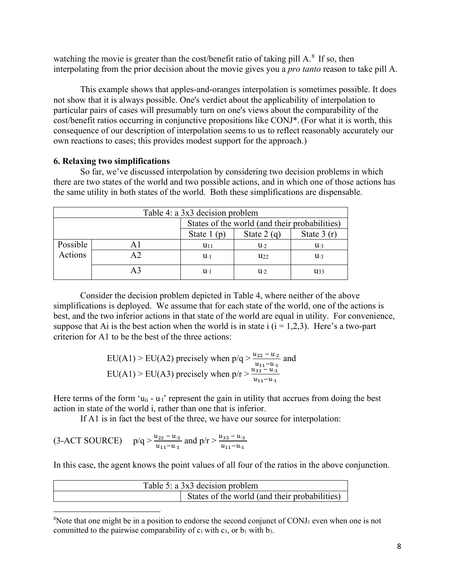watching the movie is greater than the cost/benefit ratio of taking pill  $A$ <sup>[8](#page-7-0)</sup>. If so, then interpolating from the prior decision about the movie gives you a *pro tanto* reason to take pill A.

This example shows that apples-and-oranges interpolation is sometimes possible. It does not show that it is always possible. One's verdict about the applicability of interpolation to particular pairs of cases will presumably turn on one's views about the comparability of the cost/benefit ratios occurring in conjunctive propositions like CONJ\*. (For what it is worth, this consequence of our description of interpolation seems to us to reflect reasonably accurately our own reactions to cases; this provides modest support for the approach.)

### **6. Relaxing two simplifications**

So far, we've discussed interpolation by considering two decision problems in which there are two states of the world and two possible actions, and in which one of those actions has the same utility in both states of the world. Both these simplifications are dispensable.

| Table 4: a 3x3 decision problem               |                                              |               |              |          |  |
|-----------------------------------------------|----------------------------------------------|---------------|--------------|----------|--|
| States of the world (and their probabilities) |                                              |               |              |          |  |
|                                               | State $1(p)$<br>State $2(q)$<br>State $3(r)$ |               |              |          |  |
| Possible                                      | A1                                           | $u_{11}$      | $u_{2}$      | $u_{3}$  |  |
| Actions                                       | A <sub>2</sub>                               | $u_{\cdot 1}$ | $U_{22}$     | $u_{3}$  |  |
|                                               | A <sub>3</sub>                               | u.            | $u_{\cdot2}$ | $u_{33}$ |  |

Consider the decision problem depicted in Table 4, where neither of the above simplifications is deployed. We assume that for each state of the world, one of the actions is best, and the two inferior actions in that state of the world are equal in utility. For convenience, suppose that Ai is the best action when the world is in state i  $(i = 1,2,3)$ . Here's a two-part criterion for A1 to be the best of the three actions:

EU(A1) > EU(A2) precisely when 
$$
p/q > \frac{u_{22} - u_2}{u_{11} - u_1}
$$
 and  
EU(A1) > EU(A3) precisely when  $p/r > \frac{u_{33} - u_3}{u_{11} - u_1}$ 

Here terms of the form 'u<sub>ii</sub> - u<sub>'I</sub>' represent the gain in utility that accrues from doing the best action in state of the world i, rather than one that is inferior.

If A1 is in fact the best of the three, we have our source for interpolation:

$$
(3-ACT\,\text{SOURCE}) \quad p/q > \frac{u_{22} - u_{2}}{u_{11} - u_{1}} \text{ and } p/r > \frac{u_{33} - u_{3}}{u_{11} - u_{1}}
$$

In this case, the agent knows the point values of all four of the ratios in the above conjunction.

| Table 5: a 3x3 decision problem |                                               |  |  |
|---------------------------------|-----------------------------------------------|--|--|
|                                 | States of the world (and their probabilities) |  |  |

<span id="page-7-0"></span> $8$ Note that one might be in a position to endorse the second conjunct of CONJ<sub>1</sub> even when one is not committed to the pairwise comparability of  $c_1$  with  $c_3$ , or  $b_1$  with  $b_3$ .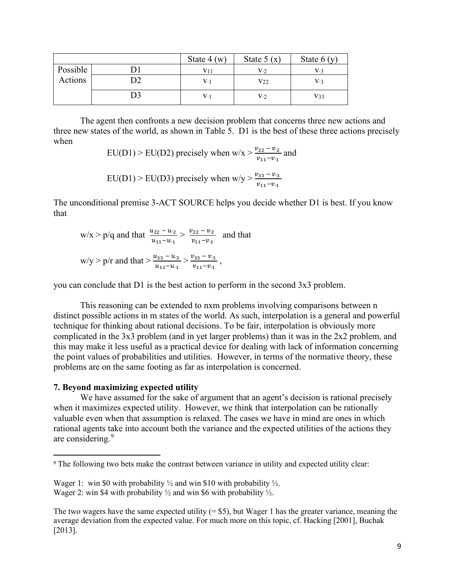|          | State $4(w)$ | State $5(x)$   | State $6(y)$ |
|----------|--------------|----------------|--------------|
| Possible |              | V·2            | V.٦          |
| Actions  | V·1          | V22            | V.3          |
|          | V·1          | V <sub>2</sub> | $V_33$       |

The agent then confronts a new decision problem that concerns three new actions and three new states of the world, as shown in Table 5. D1 is the best of these three actions precisely when

> EU(D1) > EU(D2) precisely when  $w/x > \frac{v_{22} - v_2}{v_{22} - v_1}$  $v_{11}-v_{11}$ and

EU(D1) > EU(D3) precisely when 
$$
w/y > \frac{v_{33} - v_{3}}{v_{11} - v_{11}}
$$

The unconditional premise 3-ACT SOURCE helps you decide whether D1 is best. If you know that

$$
w/x > p/q \text{ and that } \frac{u_{22} - u_2}{u_{11} - u_1} > \frac{v_{22} - v_2}{v_{11} - v_1} \text{ and that}
$$

$$
w/y > p/r \text{ and that } > \frac{u_{33} - u_3}{u_{11} - u_1} > \frac{v_{33} - v_3}{v_{11} - v_1},
$$

you can conclude that D1 is the best action to perform in the second 3x3 problem.

This reasoning can be extended to nxm problems involving comparisons between n distinct possible actions in m states of the world. As such, interpolation is a general and powerful technique for thinking about rational decisions. To be fair, interpolation is obviously more complicated in the 3x3 problem (and in yet larger problems) than it was in the 2x2 problem, and this may make it less useful as a practical device for dealing with lack of information concerning the point values of probabilities and utilities. However, in terms of the normative theory, these problems are on the same footing as far as interpolation is concerned.

### **7. Beyond maximizing expected utility**

We have assumed for the sake of argument that an agent's decision is rational precisely when it maximizes expected utility. However, we think that interpolation can be rationally valuable even when that assumption is relaxed. The cases we have in mind are ones in which rational agents take into account both the variance and the expected utilities of the actions they are considering.[9](#page-8-0)

The two wagers have the same expected utility  $(= $5)$ , but Wager 1 has the greater variance, meaning the average deviation from the expected value. For much more on this topic, cf. Hacking [2001], Buchak [2013].

<span id="page-8-0"></span><sup>9</sup> The following two bets make the contrast between variance in utility and expected utility clear:

Wager 1: win \$0 with probability  $\frac{1}{2}$  and win \$10 with probability  $\frac{1}{2}$ . Wager 2: win \$4 with probability  $\frac{1}{2}$  and win \$6 with probability  $\frac{1}{2}$ .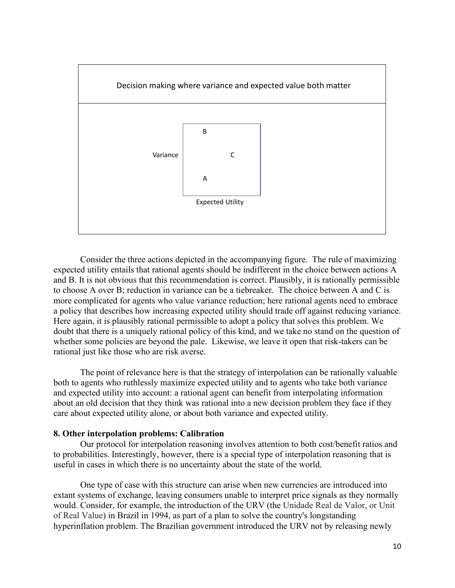

Consider the three actions depicted in the accompanying figure. The rule of maximizing expected utility entails that rational agents should be indifferent in the choice between actions A and B. It is not obvious that this recommendation is correct. Plausibly, it is rationally permissible to choose A over B; reduction in variance can be a tiebreaker. The choice between A and C is more complicated for agents who value variance reduction; here rational agents need to embrace a policy that describes how increasing expected utility should trade off against reducing variance. Here again, it is plausibly rational permissible to adopt a policy that solves this problem. We doubt that there is a uniquely rational policy of this kind, and we take no stand on the question of whether some policies are beyond the pale. Likewise, we leave it open that risk-takers can be rational just like those who are risk averse.

The point of relevance here is that the strategy of interpolation can be rationally valuable both to agents who ruthlessly maximize expected utility and to agents who take both variance and expected utility into account: a rational agent can benefit from interpolating information about an old decision that they think was rational into a new decision problem they face if they care about expected utility alone, or about both variance and expected utility.

### **8. Other interpolation problems: Calibration**

Our protocol for interpolation reasoning involves attention to both cost/benefit ratios and to probabilities. Interestingly, however, there is a special type of interpolation reasoning that is useful in cases in which there is no uncertainty about the state of the world.

One type of case with this structure can arise when new currencies are introduced into extant systems of exchange, leaving consumers unable to interpret price signals as they normally would. Consider, for example, the introduction of the URV (the Unidade Real de Valor, or Unit of Real Value) in Brazil in 1994, as part of a plan to solve the country's longstanding hyperinflation problem. The Brazilian government introduced the URV not by releasing newly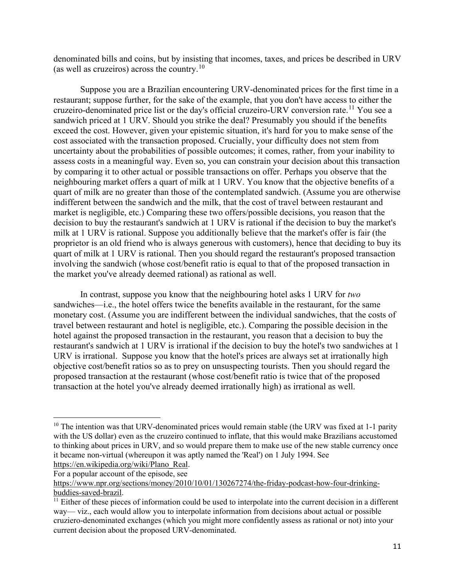denominated bills and coins, but by insisting that incomes, taxes, and prices be described in URV (as well as cruzeiros) across the country.<sup>[10](#page-10-0)</sup>

Suppose you are a Brazilian encountering URV-denominated prices for the first time in a restaurant; suppose further, for the sake of the example, that you don't have access to either the cruzeiro-denominated price list or the day's official cruzeiro-URV conversion rate.<sup>[11](#page-10-1)</sup> You see a sandwich priced at 1 URV. Should you strike the deal? Presumably you should if the benefits exceed the cost. However, given your epistemic situation, it's hard for you to make sense of the cost associated with the transaction proposed. Crucially, your difficulty does not stem from uncertainty about the probabilities of possible outcomes; it comes, rather, from your inability to assess costs in a meaningful way. Even so, you can constrain your decision about this transaction by comparing it to other actual or possible transactions on offer. Perhaps you observe that the neighbouring market offers a quart of milk at 1 URV. You know that the objective benefits of a quart of milk are no greater than those of the contemplated sandwich. (Assume you are otherwise indifferent between the sandwich and the milk, that the cost of travel between restaurant and market is negligible, etc.) Comparing these two offers/possible decisions, you reason that the decision to buy the restaurant's sandwich at 1 URV is rational if the decision to buy the market's milk at 1 URV is rational. Suppose you additionally believe that the market's offer is fair (the proprietor is an old friend who is always generous with customers), hence that deciding to buy its quart of milk at 1 URV is rational. Then you should regard the restaurant's proposed transaction involving the sandwich (whose cost/benefit ratio is equal to that of the proposed transaction in the market you've already deemed rational) as rational as well.

In contrast, suppose you know that the neighbouring hotel asks 1 URV for *two* sandwiches—i.e., the hotel offers twice the benefits available in the restaurant, for the same monetary cost. (Assume you are indifferent between the individual sandwiches, that the costs of travel between restaurant and hotel is negligible, etc.). Comparing the possible decision in the hotel against the proposed transaction in the restaurant, you reason that a decision to buy the restaurant's sandwich at 1 URV is irrational if the decision to buy the hotel's two sandwiches at 1 URV is irrational. Suppose you know that the hotel's prices are always set at irrationally high objective cost/benefit ratios so as to prey on unsuspecting tourists. Then you should regard the proposed transaction at the restaurant (whose cost/benefit ratio is twice that of the proposed transaction at the hotel you've already deemed irrationally high) as irrational as well.

For a popular account of the episode, see

<span id="page-10-0"></span> $10$  The intention was that URV-denominated prices would remain stable (the URV was fixed at 1-1 parity with the US dollar) even as the cruzeiro continued to inflate, that this would make Brazilians accustomed to thinking about prices in URV, and so would prepare them to make use of the new stable currency once it became non-virtual (whereupon it was aptly named the 'Real') on 1 July 1994. See [https://en.wikipedia.org/wiki/Plano\\_Real.](https://en.wikipedia.org/wiki/Plano_Real)

[https://www.npr.org/sections/money/2010/10/01/130267274/the-friday-podcast-how-four-drinking](https://www.npr.org/sections/money/2010/10/01/130267274/the-friday-podcast-how-four-drinking-buddies-saved-brazil)[buddies-saved-brazil.](https://www.npr.org/sections/money/2010/10/01/130267274/the-friday-podcast-how-four-drinking-buddies-saved-brazil)<br><sup>11</sup> Either of these pieces of information could be used to interpolate into the current decision in a different

<span id="page-10-1"></span>way— viz., each would allow you to interpolate information from decisions about actual or possible cruziero-denominated exchanges (which you might more confidently assess as rational or not) into your current decision about the proposed URV-denominated.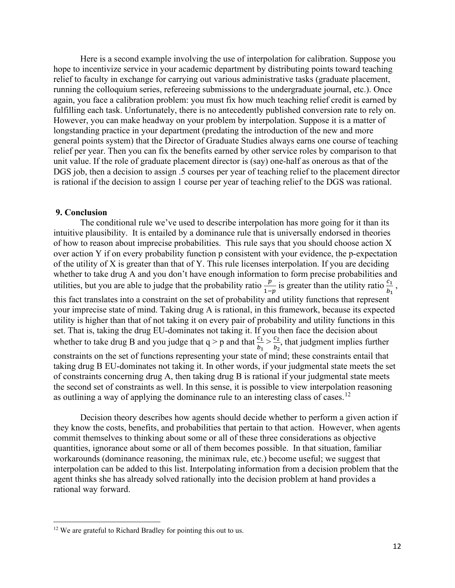Here is a second example involving the use of interpolation for calibration. Suppose you hope to incentivize service in your academic department by distributing points toward teaching relief to faculty in exchange for carrying out various administrative tasks (graduate placement, running the colloquium series, refereeing submissions to the undergraduate journal, etc.). Once again, you face a calibration problem: you must fix how much teaching relief credit is earned by fulfilling each task. Unfortunately, there is no antecedently published conversion rate to rely on. However, you can make headway on your problem by interpolation. Suppose it is a matter of longstanding practice in your department (predating the introduction of the new and more general points system) that the Director of Graduate Studies always earns one course of teaching relief per year. Then you can fix the benefits earned by other service roles by comparison to that unit value. If the role of graduate placement director is (say) one-half as onerous as that of the DGS job, then a decision to assign .5 courses per year of teaching relief to the placement director is rational if the decision to assign 1 course per year of teaching relief to the DGS was rational.

#### **9. Conclusion**

The conditional rule we've used to describe interpolation has more going for it than its intuitive plausibility. It is entailed by a dominance rule that is universally endorsed in theories of how to reason about imprecise probabilities. This rule says that you should choose action X over action Y if on every probability function p consistent with your evidence, the p-expectation of the utility of X is greater than that of Y. This rule licenses interpolation. If you are deciding whether to take drug A and you don't have enough information to form precise probabilities and utilities, but you are able to judge that the probability ratio  $\frac{p}{1-p}$  is greater than the utility ratio  $\frac{c_1}{b_1}$ , this fact translates into a constraint on the set of probability and utility functions that represent your imprecise state of mind. Taking drug A is rational, in this framework, because its expected utility is higher than that of not taking it on every pair of probability and utility functions in this set. That is, taking the drug EU-dominates not taking it. If you then face the decision about whether to take drug B and you judge that  $q > p$  and that  $\frac{c_1}{p}$  $b_1$  $> \frac{c_2}{b}$  $b_2$ , that judgment implies further constraints on the set of functions representing your state of mind; these constraints entail that taking drug B EU-dominates not taking it. In other words, if your judgmental state meets the set of constraints concerning drug A, then taking drug B is rational if your judgmental state meets the second set of constraints as well. In this sense, it is possible to view interpolation reasoning as outlining a way of applying the dominance rule to an interesting class of cases.<sup>[12](#page-11-0)</sup>

Decision theory describes how agents should decide whether to perform a given action if they know the costs, benefits, and probabilities that pertain to that action. However, when agents commit themselves to thinking about some or all of these three considerations as objective quantities, ignorance about some or all of them becomes possible. In that situation, familiar workarounds (dominance reasoning, the minimax rule, etc.) become useful; we suggest that interpolation can be added to this list. Interpolating information from a decision problem that the agent thinks she has already solved rationally into the decision problem at hand provides a rational way forward.

<span id="page-11-0"></span><sup>&</sup>lt;sup>12</sup> We are grateful to Richard Bradley for pointing this out to us.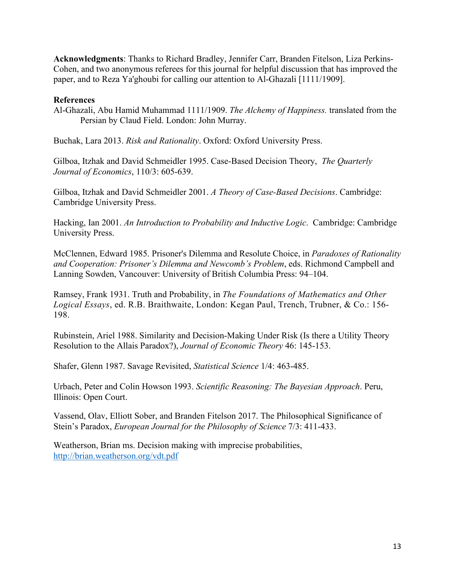**Acknowledgments**: Thanks to Richard Bradley, Jennifer Carr, Branden Fitelson, Liza Perkins-Cohen, and two anonymous referees for this journal for helpful discussion that has improved the paper, and to Reza Ya'ghoubi for calling our attention to Al-Ghazali [1111/1909].

### **References**

Al-Ghazali, Abu Hamid Muhammad 1111/1909. *The Alchemy of Happiness.* translated from the Persian by Claud Field. London: John Murray.

Buchak, Lara 2013. *Risk and Rationality*. Oxford: Oxford University Press.

Gilboa, Itzhak and David Schmeidler 1995. Case-Based Decision Theory, *The Quarterly Journal of Economics*, 110/3: 605-639.

Gilboa, Itzhak and David Schmeidler 2001. *A Theory of Case-Based Decisions*. Cambridge: Cambridge University Press.

Hacking, Ian 2001. *An Introduction to Probability and Inductive Logic*. Cambridge: Cambridge University Press.

McClennen, Edward 1985. Prisoner's Dilemma and Resolute Choice, in *Paradoxes of Rationality and Cooperation: Prisoner's Dilemma and Newcomb's Problem*, eds. Richmond Campbell and Lanning Sowden, Vancouver: University of British Columbia Press: 94–104.

Ramsey, Frank 1931. Truth and Probability, in *The Foundations of Mathematics and Other Logical Essays*, ed. R.B. Braithwaite, London: Kegan Paul, Trench, Trubner, & Co.: 156- 198.

Rubinstein, Ariel 1988. Similarity and Decision-Making Under Risk (Is there a Utility Theory Resolution to the Allais Paradox?), *Journal of Economic Theory* 46: 145-153.

Shafer, Glenn 1987. Savage Revisited, *Statistical Science* 1/4: 463-485.

Urbach, Peter and Colin Howson 1993. *Scientific Reasoning: The Bayesian Approach*. Peru, Illinois: Open Court.

Vassend, Olav, Elliott Sober, and Branden Fitelson 2017. The Philosophical Significance of Stein's Paradox, *European Journal for the Philosophy of Science* 7/3: 411-433.

Weatherson, Brian ms. Decision making with imprecise probabilities, <http://brian.weatherson.org/vdt.pdf>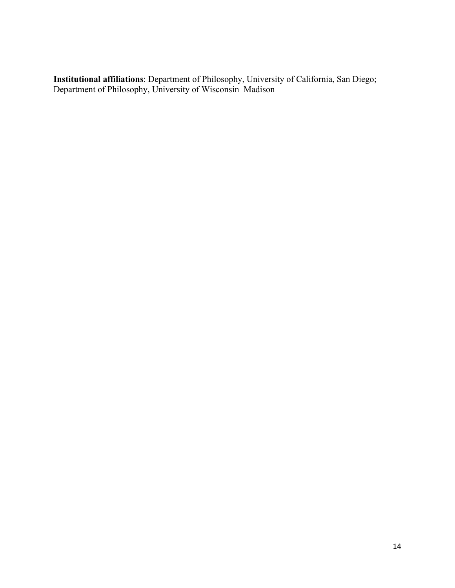**Institutional affiliations**: Department of Philosophy, University of California, San Diego; Department of Philosophy, University of Wisconsin–Madison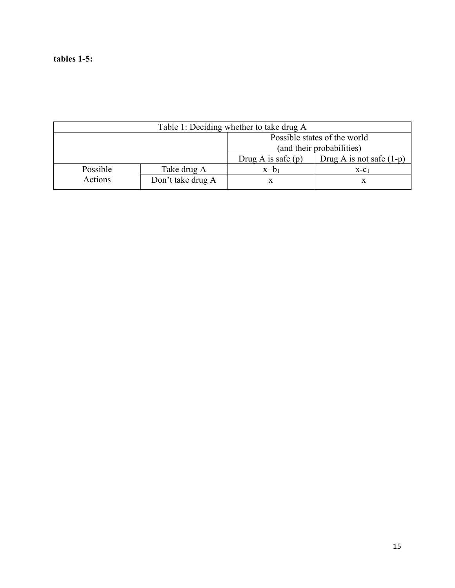## **tables 1-5:**

| Table 1: Deciding whether to take drug A |                              |                           |                            |  |  |
|------------------------------------------|------------------------------|---------------------------|----------------------------|--|--|
|                                          | Possible states of the world |                           |                            |  |  |
|                                          |                              | (and their probabilities) |                            |  |  |
|                                          |                              | Drug A is safe $(p)$      | Drug A is not safe $(1-p)$ |  |  |
| Possible                                 | Take drug A                  | $x+b_1$                   | $X-C1$                     |  |  |
| Actions                                  | Don't take drug A            |                           |                            |  |  |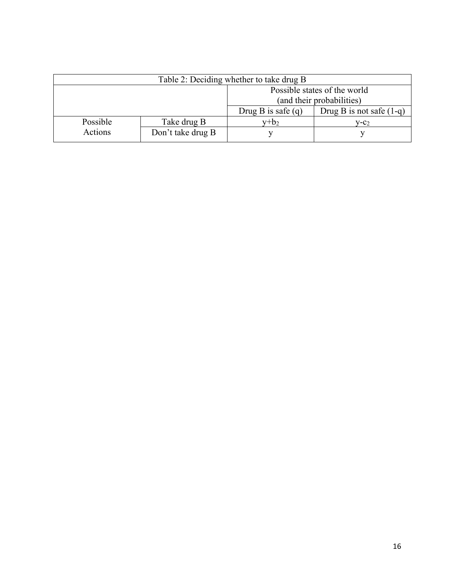| Table 2: Deciding whether to take drug B |                   |                              |                            |  |
|------------------------------------------|-------------------|------------------------------|----------------------------|--|
|                                          |                   | Possible states of the world |                            |  |
|                                          |                   | (and their probabilities)    |                            |  |
|                                          |                   | Drug B is safe $(q)$         | Drug B is not safe $(1-q)$ |  |
| Possible                                 | Take drug B       | $v+b_2$                      | $V-C2$                     |  |
| Actions                                  | Don't take drug B |                              |                            |  |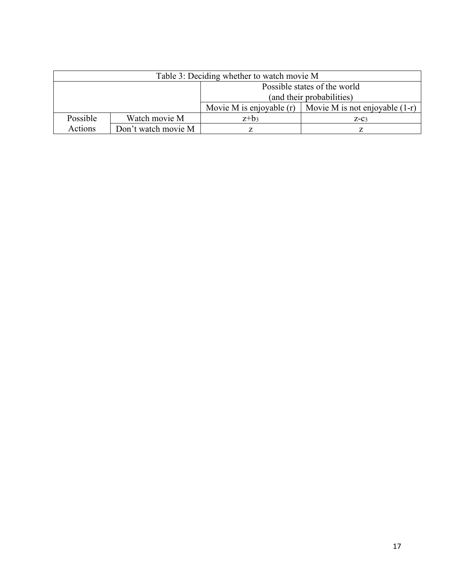| Table 3: Deciding whether to watch movie M |                              |                            |                                  |  |  |
|--------------------------------------------|------------------------------|----------------------------|----------------------------------|--|--|
|                                            | Possible states of the world |                            |                                  |  |  |
|                                            | (and their probabilities)    |                            |                                  |  |  |
|                                            |                              | Movie M is enjoyable $(r)$ | Movie M is not enjoyable $(1-r)$ |  |  |
| Possible                                   | Watch movie M                | $z+b_3$                    | $Z-C3$                           |  |  |
| Actions                                    | Don't watch movie M          |                            |                                  |  |  |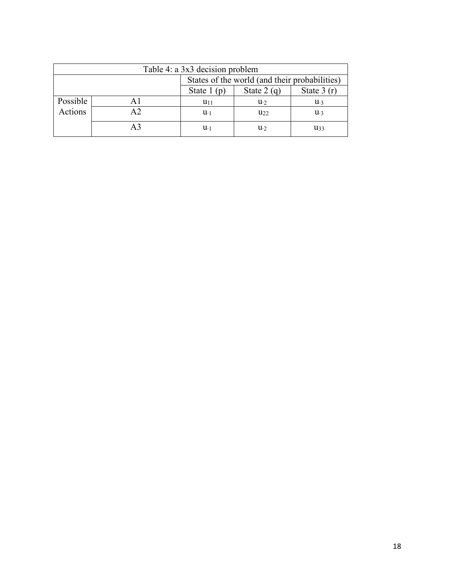| Table 4: a 3x3 decision problem               |                                              |             |          |          |  |
|-----------------------------------------------|----------------------------------------------|-------------|----------|----------|--|
| States of the world (and their probabilities) |                                              |             |          |          |  |
|                                               | State $1(p)$<br>State $2(q)$<br>State $3(r)$ |             |          |          |  |
| Possible                                      | Αl                                           | $u_{11}$    | $u_{2}$  | $u_{3}$  |  |
| Actions                                       | A <sub>2</sub>                               | $u_{-1}$    | $u_{22}$ | $u_{3}$  |  |
|                                               | A <sub>3</sub>                               | $u_{\cdot}$ | $u_{2}$  | $u_{33}$ |  |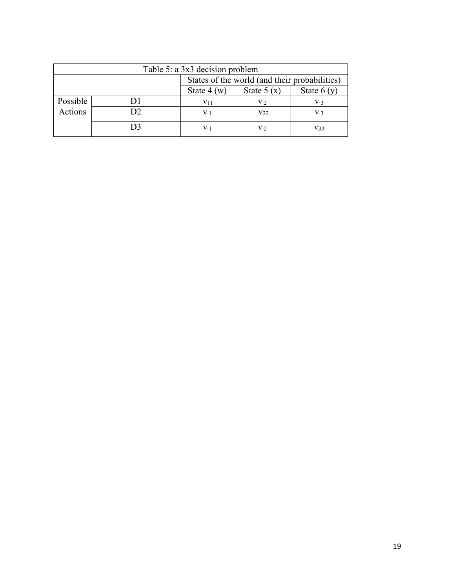| Table 5: a 3x3 decision problem               |                                              |                 |                 |                |  |
|-----------------------------------------------|----------------------------------------------|-----------------|-----------------|----------------|--|
| States of the world (and their probabilities) |                                              |                 |                 |                |  |
|                                               | State $4(w)$<br>State $5(x)$<br>State $6(y)$ |                 |                 |                |  |
| Possible                                      |                                              | V <sub>11</sub> | V·2             | V <sub>3</sub> |  |
| Actions                                       | D2                                           | V·1             | V <sub>22</sub> | V.3            |  |
|                                               | D3                                           | V·1             | V·2             | V33            |  |